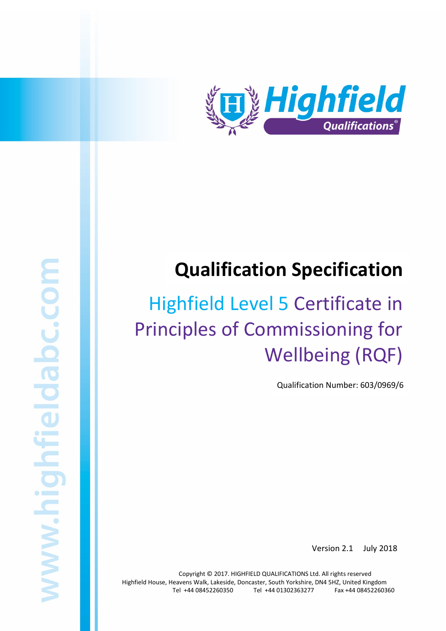

# Qualification Specification

# Principles of Commissioning for Highfield Level 5 Certificate in Wellbeing (RQF)

Qualification Number: 603/0969/6

Version 2.1 July 2018

Copyright © 2017. HIGHFIELD QUALIFICATIONS Ltd. All rights reserved Highfield House, Heavens Walk, Lakeside, Doncaster, South Yorkshire, DN4 5HZ, United Kingdom Tel +44 08452260350 Tel +44 01302363277 Fax +44 08452260360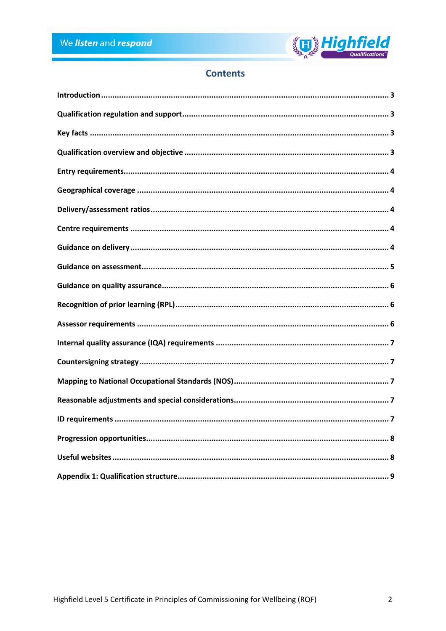

# **Contents**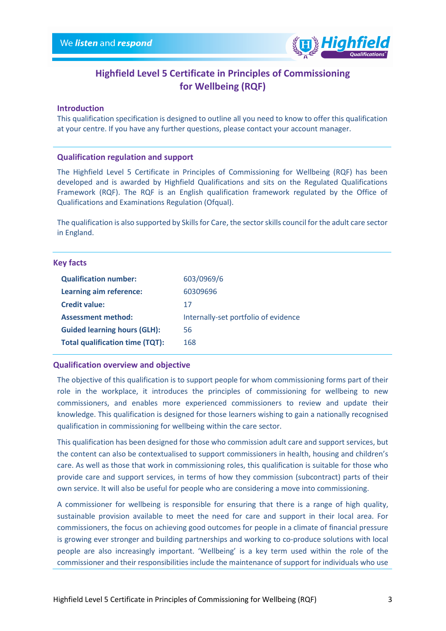

# Highfield Level 5 Certificate in Principles of Commissioning for Wellbeing (RQF)

# Introduction

This qualification specification is designed to outline all you need to know to offer this qualification at your centre. If you have any further questions, please contact your account manager.

## Qualification regulation and support

The Highfield Level 5 Certificate in Principles of Commissioning for Wellbeing (RQF) has been developed and is awarded by Highfield Qualifications and sits on the Regulated Qualifications Framework (RQF). The RQF is an English qualification framework regulated by the Office of Qualifications and Examinations Regulation (Ofqual).

The qualification is also supported by Skills for Care, the sector skills council for the adult care sector in England.

### Key facts

| <b>Qualification number:</b>        | 603/0969/6                           |
|-------------------------------------|--------------------------------------|
| Learning aim reference:             | 60309696                             |
| <b>Credit value:</b>                | 17                                   |
| <b>Assessment method:</b>           | Internally-set portfolio of evidence |
| <b>Guided learning hours (GLH):</b> | 56                                   |
| Total qualification time (TQT):     | 168                                  |

# Qualification overview and objective

The objective of this qualification is to support people for whom commissioning forms part of their role in the workplace, it introduces the principles of commissioning for wellbeing to new commissioners, and enables more experienced commissioners to review and update their knowledge. This qualification is designed for those learners wishing to gain a nationally recognised qualification in commissioning for wellbeing within the care sector.

This qualification has been designed for those who commission adult care and support services, but the content can also be contextualised to support commissioners in health, housing and children's care. As well as those that work in commissioning roles, this qualification is suitable for those who provide care and support services, in terms of how they commission (subcontract) parts of their own service. It will also be useful for people who are considering a move into commissioning.

A commissioner for wellbeing is responsible for ensuring that there is a range of high quality, sustainable provision available to meet the need for care and support in their local area. For commissioners, the focus on achieving good outcomes for people in a climate of financial pressure is growing ever stronger and building partnerships and working to co-produce solutions with local people are also increasingly important. 'Wellbeing' is a key term used within the role of the commissioner and their responsibilities include the maintenance of support for individuals who use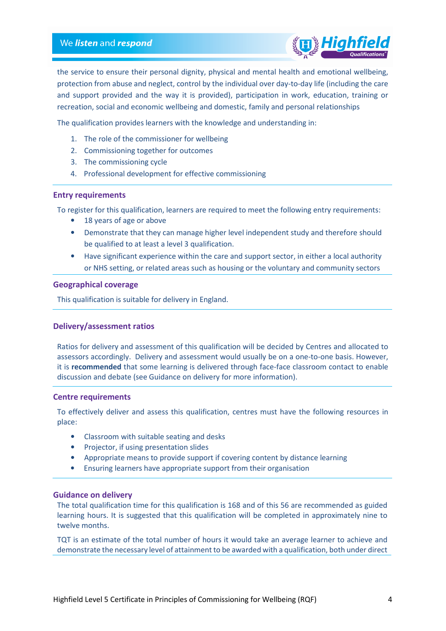

the service to ensure their personal dignity, physical and mental health and emotional wellbeing, protection from abuse and neglect, control by the individual over day-to-day life (including the care and support provided and the way it is provided), participation in work, education, training or recreation, social and economic wellbeing and domestic, family and personal relationships

The qualification provides learners with the knowledge and understanding in:

- 1. The role of the commissioner for wellbeing
- 2. Commissioning together for outcomes
- 3. The commissioning cycle
- 4. Professional development for effective commissioning

## Entry requirements

To register for this qualification, learners are required to meet the following entry requirements:

- 18 years of age or above
- Demonstrate that they can manage higher level independent study and therefore should be qualified to at least a level 3 qualification.
- Have significant experience within the care and support sector, in either a local authority or NHS setting, or related areas such as housing or the voluntary and community sectors

#### Geographical coverage

This qualification is suitable for delivery in England.

# Delivery/assessment ratios

Ratios for delivery and assessment of this qualification will be decided by Centres and allocated to assessors accordingly. Delivery and assessment would usually be on a one-to-one basis. However, it is recommended that some learning is delivered through face-face classroom contact to enable discussion and debate (see Guidance on delivery for more information).

## Centre requirements

To effectively deliver and assess this qualification, centres must have the following resources in place:

- Classroom with suitable seating and desks
- Projector, if using presentation slides
- Appropriate means to provide support if covering content by distance learning
- Ensuring learners have appropriate support from their organisation

#### Guidance on delivery

The total qualification time for this qualification is 168 and of this 56 are recommended as guided learning hours. It is suggested that this qualification will be completed in approximately nine to twelve months.

TQT is an estimate of the total number of hours it would take an average learner to achieve and demonstrate the necessary level of attainment to be awarded with a qualification, both under direct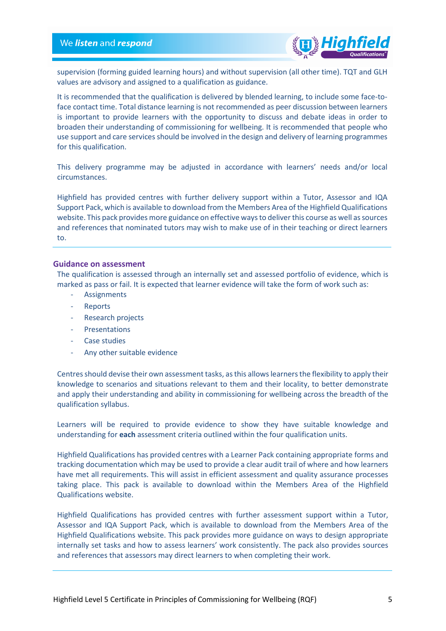# We listen and respond



supervision (forming guided learning hours) and without supervision (all other time). TQT and GLH values are advisory and assigned to a qualification as guidance.

It is recommended that the qualification is delivered by blended learning, to include some face-toface contact time. Total distance learning is not recommended as peer discussion between learners is important to provide learners with the opportunity to discuss and debate ideas in order to broaden their understanding of commissioning for wellbeing. It is recommended that people who use support and care services should be involved in the design and delivery of learning programmes for this qualification.

This delivery programme may be adjusted in accordance with learners' needs and/or local circumstances.

Highfield has provided centres with further delivery support within a Tutor, Assessor and IQA Support Pack, which is available to download from the Members Area of the Highfield Qualifications website. This pack provides more guidance on effective ways to deliver this course as well as sources and references that nominated tutors may wish to make use of in their teaching or direct learners to.

#### Guidance on assessment

The qualification is assessed through an internally set and assessed portfolio of evidence, which is marked as pass or fail. It is expected that learner evidence will take the form of work such as:

- **Assignments**
- **Reports**
- Research projects
- **Presentations**
- Case studies
- Any other suitable evidence

Centres should devise their own assessment tasks, as this allows learners the flexibility to apply their knowledge to scenarios and situations relevant to them and their locality, to better demonstrate and apply their understanding and ability in commissioning for wellbeing across the breadth of the qualification syllabus.

Learners will be required to provide evidence to show they have suitable knowledge and understanding for each assessment criteria outlined within the four qualification units.

Highfield Qualifications has provided centres with a Learner Pack containing appropriate forms and tracking documentation which may be used to provide a clear audit trail of where and how learners have met all requirements. This will assist in efficient assessment and quality assurance processes taking place. This pack is available to download within the Members Area of the Highfield Qualifications website.

Highfield Qualifications has provided centres with further assessment support within a Tutor, Assessor and IQA Support Pack, which is available to download from the Members Area of the Highfield Qualifications website. This pack provides more guidance on ways to design appropriate internally set tasks and how to assess learners' work consistently. The pack also provides sources and references that assessors may direct learners to when completing their work.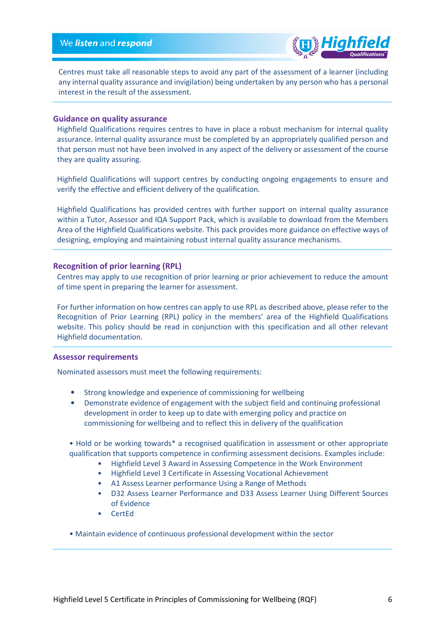

Centres must take all reasonable steps to avoid any part of the assessment of a learner (including any internal quality assurance and invigilation) being undertaken by any person who has a personal interest in the result of the assessment.

# Guidance on quality assurance

Highfield Qualifications requires centres to have in place a robust mechanism for internal quality assurance. Internal quality assurance must be completed by an appropriately qualified person and that person must not have been involved in any aspect of the delivery or assessment of the course they are quality assuring.

Highfield Qualifications will support centres by conducting ongoing engagements to ensure and verify the effective and efficient delivery of the qualification.

Highfield Qualifications has provided centres with further support on internal quality assurance within a Tutor, Assessor and IQA Support Pack, which is available to download from the Members Area of the Highfield Qualifications website. This pack provides more guidance on effective ways of designing, employing and maintaining robust internal quality assurance mechanisms.

# Recognition of prior learning (RPL)

Centres may apply to use recognition of prior learning or prior achievement to reduce the amount of time spent in preparing the learner for assessment.

For further information on how centres can apply to use RPL as described above, please refer to the Recognition of Prior Learning (RPL) policy in the members' area of the Highfield Qualifications website. This policy should be read in conjunction with this specification and all other relevant Highfield documentation.

### Assessor requirements

Nominated assessors must meet the following requirements:

- Strong knowledge and experience of commissioning for wellbeing
- Demonstrate evidence of engagement with the subject field and continuing professional development in order to keep up to date with emerging policy and practice on commissioning for wellbeing and to reflect this in delivery of the qualification
- Hold or be working towards\* a recognised qualification in assessment or other appropriate qualification that supports competence in confirming assessment decisions. Examples include:
	- Highfield Level 3 Award in Assessing Competence in the Work Environment
	- Highfield Level 3 Certificate in Assessing Vocational Achievement
	- A1 Assess Learner performance Using a Range of Methods
	- D32 Assess Learner Performance and D33 Assess Learner Using Different Sources of Evidence
	- CertEd
- Maintain evidence of continuous professional development within the sector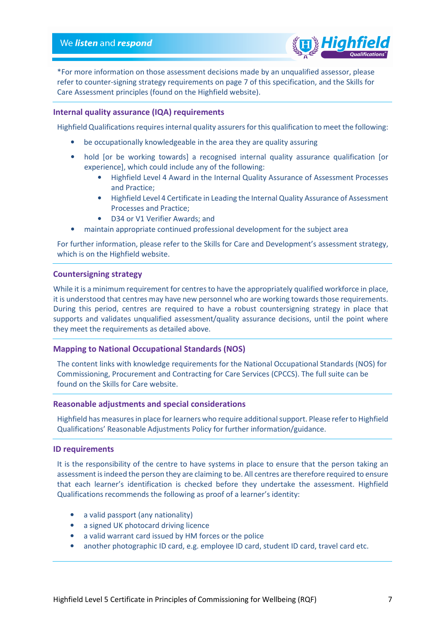

\*For more information on those assessment decisions made by an unqualified assessor, please refer to counter-signing strategy requirements on page 7 of this specification, and the Skills for Care Assessment principles (found on the Highfield website).

# Internal quality assurance (IQA) requirements

Highfield Qualifications requires internal quality assurers for this qualification to meet the following:

- be occupationally knowledgeable in the area they are quality assuring
- hold [or be working towards] a recognised internal quality assurance qualification [or experience], which could include any of the following:
	- Highfield Level 4 Award in the Internal Quality Assurance of Assessment Processes and Practice;
	- Highfield Level 4 Certificate in Leading the Internal Quality Assurance of Assessment Processes and Practice;
	- D34 or V1 Verifier Awards; and
- maintain appropriate continued professional development for the subject area

For further information, please refer to the Skills for Care and Development's assessment strategy, which is on the Highfield website.

#### Countersigning strategy

While it is a minimum requirement for centres to have the appropriately qualified workforce in place, it is understood that centres may have new personnel who are working towards those requirements. During this period, centres are required to have a robust countersigning strategy in place that supports and validates unqualified assessment/quality assurance decisions, until the point where they meet the requirements as detailed above.

## Mapping to National Occupational Standards (NOS)

The content links with knowledge requirements for the National Occupational Standards (NOS) for Commissioning, Procurement and Contracting for Care Services (CPCCS). The full suite can be found on the Skills for Care website.

#### Reasonable adjustments and special considerations

Highfield has measures in place for learners who require additional support. Please refer to Highfield Qualifications' Reasonable Adjustments Policy for further information/guidance.

#### ID requirements

It is the responsibility of the centre to have systems in place to ensure that the person taking an assessment is indeed the person they are claiming to be. All centres are therefore required to ensure that each learner's identification is checked before they undertake the assessment. Highfield Qualifications recommends the following as proof of a learner's identity:

- a valid passport (any nationality)
- a signed UK photocard driving licence
- a valid warrant card issued by HM forces or the police
- another photographic ID card, e.g. employee ID card, student ID card, travel card etc.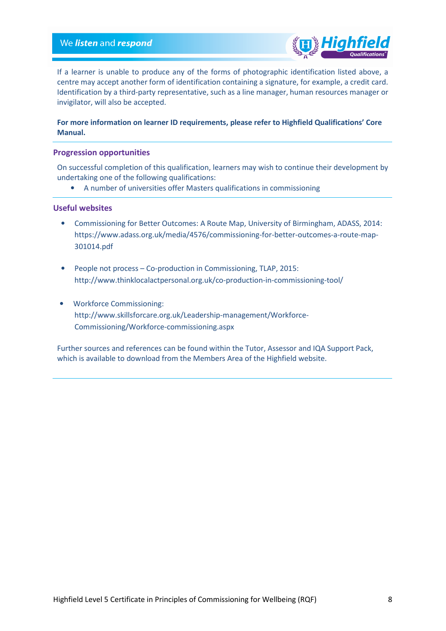

If a learner is unable to produce any of the forms of photographic identification listed above, a centre may accept another form of identification containing a signature, for example, a credit card. Identification by a third-party representative, such as a line manager, human resources manager or invigilator, will also be accepted.

# For more information on learner ID requirements, please refer to Highfield Qualifications' Core Manual.

## Progression opportunities

On successful completion of this qualification, learners may wish to continue their development by undertaking one of the following qualifications:

• A number of universities offer Masters qualifications in commissioning

### Useful websites

- Commissioning for Better Outcomes: A Route Map, University of Birmingham, ADASS, 2014: https://www.adass.org.uk/media/4576/commissioning-for-better-outcomes-a-route-map-301014.pdf
- People not process Co-production in Commissioning, TLAP, 2015: http://www.thinklocalactpersonal.org.uk/co-production-in-commissioning-tool/
- Workforce Commissioning: http://www.skillsforcare.org.uk/Leadership-management/Workforce-Commissioning/Workforce-commissioning.aspx

Further sources and references can be found within the Tutor, Assessor and IQA Support Pack, which is available to download from the Members Area of the Highfield website.